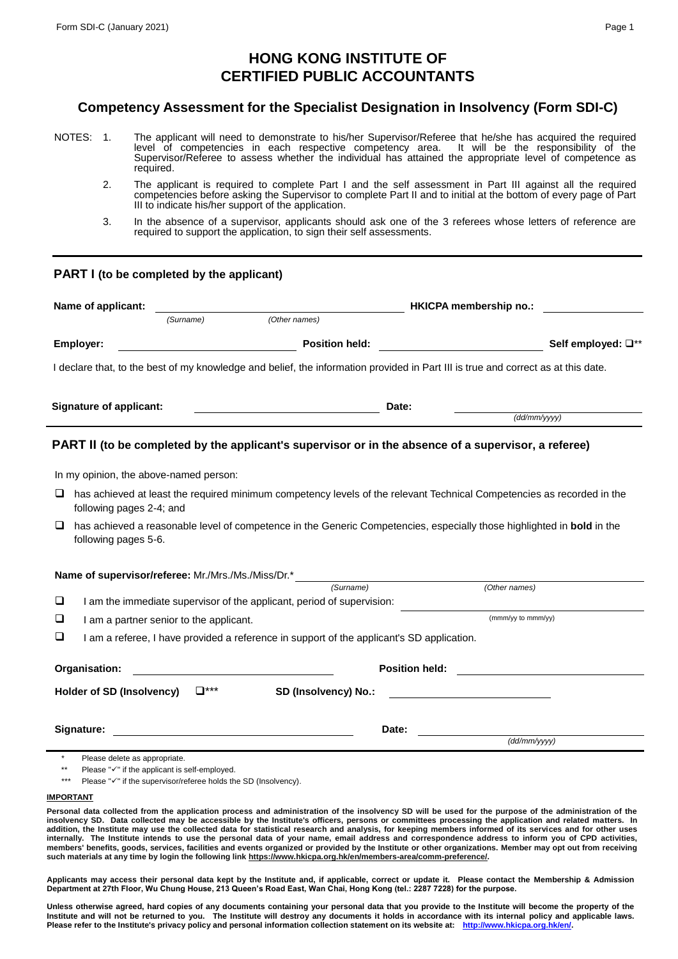# **HONG KONG INSTITUTE OF CERTIFIED PUBLIC ACCOUNTANTS**

### **Competency Assessment for the Specialist Designation in Insolvency (Form SDI-C)**

- NOTES: 1. The applicant will need to demonstrate to his/her Supervisor/Referee that he/she has acquired the required level of competencies in each respective competency area. It will be the responsibility of the Supervisor/Referee to assess whether the individual has attained the appropriate level of competence as required.
	- 2. The applicant is required to complete Part I and the self assessment in Part III against all the required competencies before asking the Supervisor to complete Part II and to initial at the bottom of every page of Part III to indicate his/her support of the application.
	- 3. In the absence of a supervisor, applicants should ask one of the 3 referees whose letters of reference are required to support the application, to sign their self assessments.

#### **PART I (to be completed by the applicant)**

| Name of applicant: |                                        | <b>HKICPA</b> membership no.:                                   |                                                                                           |                       |                                                                                                                                   |  |
|--------------------|----------------------------------------|-----------------------------------------------------------------|-------------------------------------------------------------------------------------------|-----------------------|-----------------------------------------------------------------------------------------------------------------------------------|--|
|                    |                                        | (Surname)                                                       | (Other names)                                                                             |                       |                                                                                                                                   |  |
|                    | Employer:                              |                                                                 | <b>Position held:</b>                                                                     |                       | Self employed: $\square^{**}$                                                                                                     |  |
|                    |                                        |                                                                 |                                                                                           |                       | I declare that, to the best of my knowledge and belief, the information provided in Part III is true and correct as at this date. |  |
|                    | <b>Signature of applicant:</b>         |                                                                 |                                                                                           | Date:                 |                                                                                                                                   |  |
|                    |                                        |                                                                 |                                                                                           |                       | (dd/mm/yyyy)                                                                                                                      |  |
|                    | In my opinion, the above-named person: |                                                                 |                                                                                           |                       | PART II (to be completed by the applicant's supervisor or in the absence of a supervisor, a referee)                              |  |
| ⊔                  | following pages 2-4; and               |                                                                 |                                                                                           |                       | has achieved at least the required minimum competency levels of the relevant Technical Competencies as recorded in the            |  |
| $\Box$             | following pages 5-6.                   |                                                                 |                                                                                           |                       | has achieved a reasonable level of competence in the Generic Competencies, especially those highlighted in bold in the            |  |
|                    |                                        |                                                                 | <b>Name of supervisor/referee:</b> Mr./Mrs./Ms./Miss/Dr.*_____________________________    |                       |                                                                                                                                   |  |
|                    |                                        |                                                                 | (Surname)                                                                                 |                       | (Other names)                                                                                                                     |  |
| $\Box$             |                                        |                                                                 | I am the immediate supervisor of the applicant, period of supervision:                    |                       |                                                                                                                                   |  |
| ❏                  |                                        | I am a partner senior to the applicant.                         |                                                                                           |                       | (mmm/yy to mmm/yy)                                                                                                                |  |
| ❏                  |                                        |                                                                 | I am a referee, I have provided a reference in support of the applicant's SD application. |                       |                                                                                                                                   |  |
|                    | Organisation:                          |                                                                 |                                                                                           | <b>Position held:</b> |                                                                                                                                   |  |
|                    | Holder of SD (Insolvency)              | $\Box^{***}$                                                    | SD (Insolvency) No.:                                                                      |                       |                                                                                                                                   |  |
|                    | Signature:                             |                                                                 |                                                                                           | Date:                 |                                                                                                                                   |  |
|                    |                                        |                                                                 |                                                                                           |                       | $(dd/\text{mm}/\text{yyy})$                                                                                                       |  |
|                    | Please delete as appropriate.          | Please " $\checkmark$ " if the applicant is self-employed.      |                                                                                           |                       |                                                                                                                                   |  |
|                    |                                        | Please "√" if the supervisor/referee holds the SD (Insolvency). |                                                                                           |                       |                                                                                                                                   |  |

#### **IMPORTANT**

Personal data collected from the application process and administration of the insolvency SD will be used for the purpose of the administration of the insolvency SD. Data collected may be accessible by the Institute's officers, persons or committees processing the application and related matters. In<br>addition, the Institute may use the collected data for statistical resea **internally. The Institute intends to use the personal data of your name, email address and correspondence address to inform you of CPD activities, members' benefits, goods, services, facilities and events organized or provided by the Institute or other organizations. Member may opt out from receiving such materials at any time by login the following link [https://www.hkicpa.org.hk/en/members-area/comm-preference/.](https://www.hkicpa.org.hk/en/members-area/comm-preference/)**

**Applicants may access their personal data kept by the Institute and, if applicable, correct or update it. Please contact the Membership & Admission Department at 27th Floor, Wu Chung House, 213 Queen's Road East, Wan Chai, Hong Kong (tel.: 2287 7228) for the purpose.**

**Unless otherwise agreed, hard copies of any documents containing your personal data that you provide to the Institute will become the property of the Institute and will not be returned to you. The Institute will destroy any documents it holds in accordance with its internal policy and applicable laws. Please refer to the Institute's privacy policy and personal information collection statement on its website at: [http://www.hkicpa.org.hk/en/.](http://www.hkicpa.org.hk/en/)**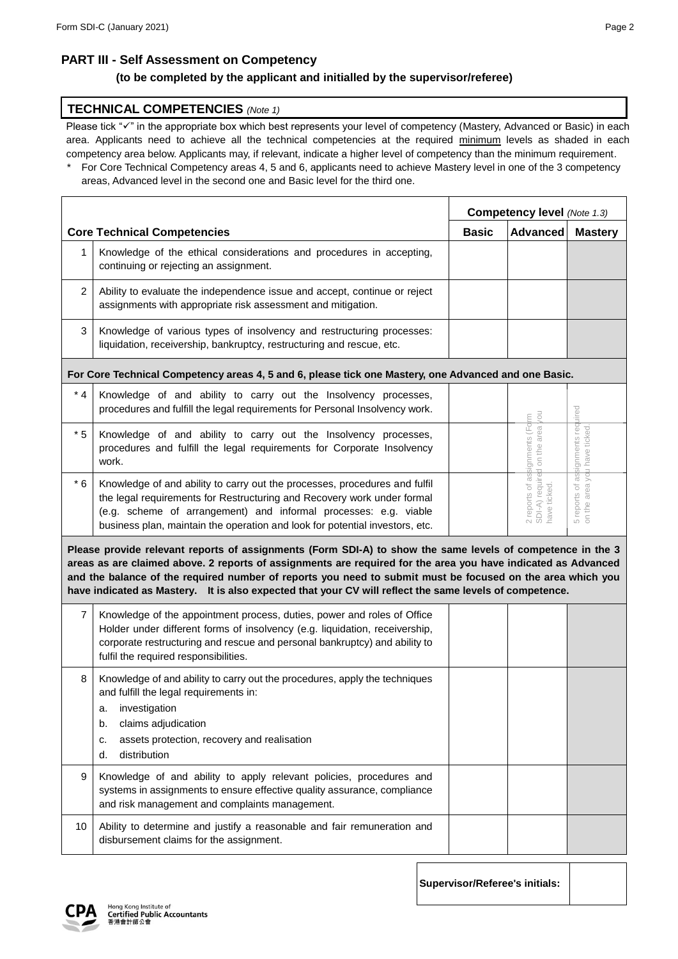### **PART III - Self Assessment on Competency**

### **(to be completed by the applicant and initialled by the supervisor/referee)**

#### **TECHNICAL COMPETENCIES** *(Note 1)*

Please tick "v" in the appropriate box which best represents your level of competency (Mastery, Advanced or Basic) in each area. Applicants need to achieve all the technical competencies at the required minimum levels as shaded in each competency area below. Applicants may, if relevant, indicate a higher level of competency than the minimum requirement.

For Core Technical Competency areas 4, 5 and 6, applicants need to achieve Mastery level in one of the 3 competency areas, Advanced level in the second one and Basic level for the third one.

|                                                                                                                                                                                                                                                                                                                                                                                                                                                      |                                                                                                                                                                                                                                                                                                           |  | Competency level (Note 1.3)           |                                                                                                 |                                                         |
|------------------------------------------------------------------------------------------------------------------------------------------------------------------------------------------------------------------------------------------------------------------------------------------------------------------------------------------------------------------------------------------------------------------------------------------------------|-----------------------------------------------------------------------------------------------------------------------------------------------------------------------------------------------------------------------------------------------------------------------------------------------------------|--|---------------------------------------|-------------------------------------------------------------------------------------------------|---------------------------------------------------------|
|                                                                                                                                                                                                                                                                                                                                                                                                                                                      | <b>Core Technical Competencies</b>                                                                                                                                                                                                                                                                        |  | <b>Basic</b>                          | <b>Advanced</b>                                                                                 | <b>Mastery</b>                                          |
| 1                                                                                                                                                                                                                                                                                                                                                                                                                                                    | Knowledge of the ethical considerations and procedures in accepting,<br>continuing or rejecting an assignment.                                                                                                                                                                                            |  |                                       |                                                                                                 |                                                         |
| 2                                                                                                                                                                                                                                                                                                                                                                                                                                                    | Ability to evaluate the independence issue and accept, continue or reject<br>assignments with appropriate risk assessment and mitigation.                                                                                                                                                                 |  |                                       |                                                                                                 |                                                         |
| 3                                                                                                                                                                                                                                                                                                                                                                                                                                                    | Knowledge of various types of insolvency and restructuring processes:<br>liquidation, receivership, bankruptcy, restructuring and rescue, etc.                                                                                                                                                            |  |                                       |                                                                                                 |                                                         |
|                                                                                                                                                                                                                                                                                                                                                                                                                                                      | For Core Technical Competency areas 4, 5 and 6, please tick one Mastery, one Advanced and one Basic.                                                                                                                                                                                                      |  |                                       |                                                                                                 |                                                         |
| $^{\star}$ 4                                                                                                                                                                                                                                                                                                                                                                                                                                         | Knowledge of and ability to carry out the Insolvency processes,<br>procedures and fulfill the legal requirements for Personal Insolvency work.                                                                                                                                                            |  |                                       |                                                                                                 | luired                                                  |
| $*5$                                                                                                                                                                                                                                                                                                                                                                                                                                                 | Knowledge of and ability to carry out the Insolvency processes,<br>procedures and fulfill the legal requirements for Corporate Insolvency<br>work.                                                                                                                                                        |  |                                       |                                                                                                 | assignments req<br>you have ticked.                     |
| $*6$                                                                                                                                                                                                                                                                                                                                                                                                                                                 | Knowledge of and ability to carry out the processes, procedures and fulfil<br>the legal requirements for Restructuring and Recovery work under formal<br>(e.g. scheme of arrangement) and informal processes: e.g. viable<br>business plan, maintain the operation and look for potential investors, etc. |  |                                       | 2 reports of assignments (Fo <mark>l</mark> m<br>contract with a disampou<br>SDI-A) required of | area<br>$\overleftarrow{\circ}$<br>5 reports on the are |
| Please provide relevant reports of assignments (Form SDI-A) to show the same levels of competence in the 3<br>areas as are claimed above. 2 reports of assignments are required for the area you have indicated as Advanced<br>and the balance of the required number of reports you need to submit must be focused on the area which you<br>have indicated as Mastery. It is also expected that your CV will reflect the same levels of competence. |                                                                                                                                                                                                                                                                                                           |  |                                       |                                                                                                 |                                                         |
| $\overline{7}$                                                                                                                                                                                                                                                                                                                                                                                                                                       | Knowledge of the appointment process, duties, power and roles of Office<br>Holder under different forms of insolvency (e.g. liquidation, receivership,<br>corporate restructuring and rescue and personal bankruptcy) and ability to<br>fulfil the required responsibilities.                             |  |                                       |                                                                                                 |                                                         |
| 8                                                                                                                                                                                                                                                                                                                                                                                                                                                    | Knowledge of and ability to carry out the procedures, apply the techniques<br>and fulfill the legal requirements in:<br>investigation<br>a.<br>claims adjudication<br>b.<br>assets protection, recovery and realisation<br>c.<br>distribution<br>d.                                                       |  |                                       |                                                                                                 |                                                         |
| 9                                                                                                                                                                                                                                                                                                                                                                                                                                                    | Knowledge of and ability to apply relevant policies, procedures and<br>systems in assignments to ensure effective quality assurance, compliance<br>and risk management and complaints management.                                                                                                         |  |                                       |                                                                                                 |                                                         |
| 10                                                                                                                                                                                                                                                                                                                                                                                                                                                   | Ability to determine and justify a reasonable and fair remuneration and<br>disbursement claims for the assignment.                                                                                                                                                                                        |  |                                       |                                                                                                 |                                                         |
|                                                                                                                                                                                                                                                                                                                                                                                                                                                      |                                                                                                                                                                                                                                                                                                           |  | <b>Supervisor/Referee's initials:</b> |                                                                                                 |                                                         |

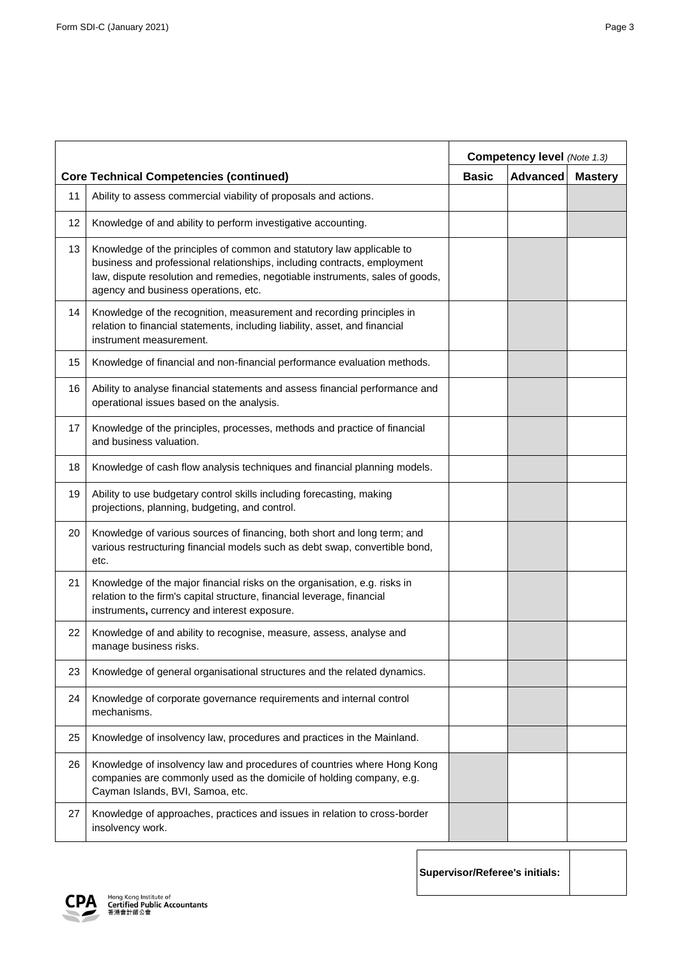|    |                                                                                                                                                                                                                                                                            | Competency level (Note 1.3) |                 |                |
|----|----------------------------------------------------------------------------------------------------------------------------------------------------------------------------------------------------------------------------------------------------------------------------|-----------------------------|-----------------|----------------|
|    | <b>Core Technical Competencies (continued)</b>                                                                                                                                                                                                                             | <b>Basic</b>                | <b>Advanced</b> | <b>Mastery</b> |
| 11 | Ability to assess commercial viability of proposals and actions.                                                                                                                                                                                                           |                             |                 |                |
| 12 | Knowledge of and ability to perform investigative accounting.                                                                                                                                                                                                              |                             |                 |                |
| 13 | Knowledge of the principles of common and statutory law applicable to<br>business and professional relationships, including contracts, employment<br>law, dispute resolution and remedies, negotiable instruments, sales of goods,<br>agency and business operations, etc. |                             |                 |                |
| 14 | Knowledge of the recognition, measurement and recording principles in<br>relation to financial statements, including liability, asset, and financial<br>instrument measurement.                                                                                            |                             |                 |                |
| 15 | Knowledge of financial and non-financial performance evaluation methods.                                                                                                                                                                                                   |                             |                 |                |
| 16 | Ability to analyse financial statements and assess financial performance and<br>operational issues based on the analysis.                                                                                                                                                  |                             |                 |                |
| 17 | Knowledge of the principles, processes, methods and practice of financial<br>and business valuation.                                                                                                                                                                       |                             |                 |                |
| 18 | Knowledge of cash flow analysis techniques and financial planning models.                                                                                                                                                                                                  |                             |                 |                |
| 19 | Ability to use budgetary control skills including forecasting, making<br>projections, planning, budgeting, and control.                                                                                                                                                    |                             |                 |                |
| 20 | Knowledge of various sources of financing, both short and long term; and<br>various restructuring financial models such as debt swap, convertible bond,<br>etc.                                                                                                            |                             |                 |                |
| 21 | Knowledge of the major financial risks on the organisation, e.g. risks in<br>relation to the firm's capital structure, financial leverage, financial<br>instruments, currency and interest exposure.                                                                       |                             |                 |                |
| 22 | Knowledge of and ability to recognise, measure, assess, analyse and<br>manage business risks.                                                                                                                                                                              |                             |                 |                |
| 23 | Knowledge of general organisational structures and the related dynamics.                                                                                                                                                                                                   |                             |                 |                |
| 24 | Knowledge of corporate governance requirements and internal control<br>mechanisms.                                                                                                                                                                                         |                             |                 |                |
| 25 | Knowledge of insolvency law, procedures and practices in the Mainland.                                                                                                                                                                                                     |                             |                 |                |
| 26 | Knowledge of insolvency law and procedures of countries where Hong Kong<br>companies are commonly used as the domicile of holding company, e.g.<br>Cayman Islands, BVI, Samoa, etc.                                                                                        |                             |                 |                |
| 27 | Knowledge of approaches, practices and issues in relation to cross-border<br>insolvency work.                                                                                                                                                                              |                             |                 |                |

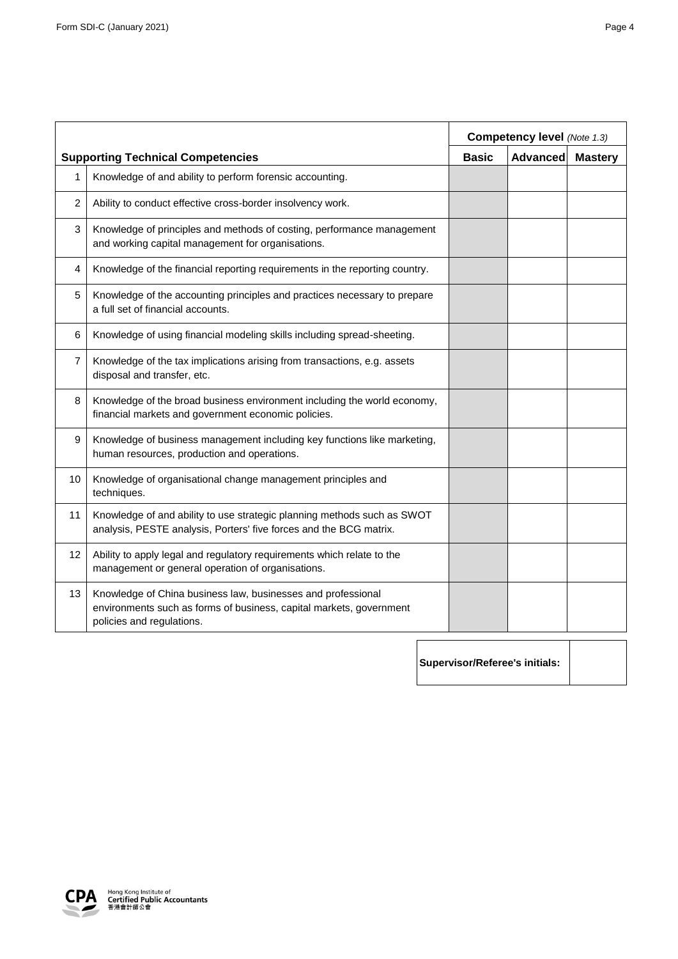|                   |                                                                                                                                                                  | <b>Competency level (Note 1.3)</b> |                 |                |
|-------------------|------------------------------------------------------------------------------------------------------------------------------------------------------------------|------------------------------------|-----------------|----------------|
|                   | <b>Supporting Technical Competencies</b>                                                                                                                         | <b>Basic</b>                       | <b>Advanced</b> | <b>Mastery</b> |
| $\mathbf{1}$      | Knowledge of and ability to perform forensic accounting.                                                                                                         |                                    |                 |                |
| $\overline{2}$    | Ability to conduct effective cross-border insolvency work.                                                                                                       |                                    |                 |                |
| $\mathbf{3}$      | Knowledge of principles and methods of costing, performance management<br>and working capital management for organisations.                                      |                                    |                 |                |
| 4                 | Knowledge of the financial reporting requirements in the reporting country.                                                                                      |                                    |                 |                |
| 5                 | Knowledge of the accounting principles and practices necessary to prepare<br>a full set of financial accounts.                                                   |                                    |                 |                |
| 6                 | Knowledge of using financial modeling skills including spread-sheeting.                                                                                          |                                    |                 |                |
| $\overline{7}$    | Knowledge of the tax implications arising from transactions, e.g. assets<br>disposal and transfer, etc.                                                          |                                    |                 |                |
| 8                 | Knowledge of the broad business environment including the world economy,<br>financial markets and government economic policies.                                  |                                    |                 |                |
| 9                 | Knowledge of business management including key functions like marketing,<br>human resources, production and operations.                                          |                                    |                 |                |
| 10                | Knowledge of organisational change management principles and<br>techniques.                                                                                      |                                    |                 |                |
| 11                | Knowledge of and ability to use strategic planning methods such as SWOT<br>analysis, PESTE analysis, Porters' five forces and the BCG matrix.                    |                                    |                 |                |
| $12 \overline{ }$ | Ability to apply legal and regulatory requirements which relate to the<br>management or general operation of organisations.                                      |                                    |                 |                |
| 13                | Knowledge of China business law, businesses and professional<br>environments such as forms of business, capital markets, government<br>policies and regulations. |                                    |                 |                |
|                   |                                                                                                                                                                  |                                    |                 |                |

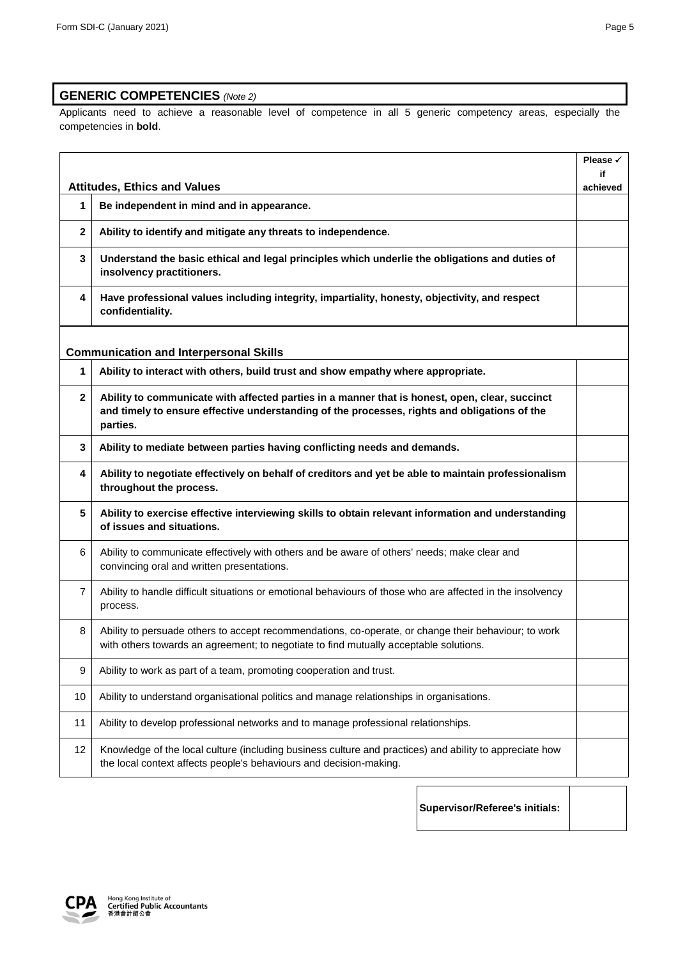## **GENERIC COMPETENCIES** *(Note 2)*

Applicants need to achieve a reasonable level of competence in all 5 generic competency areas, especially the competencies in **bold**.

|                |                                                                                                                                                                                                            | Please $\checkmark$ |
|----------------|------------------------------------------------------------------------------------------------------------------------------------------------------------------------------------------------------------|---------------------|
|                | <b>Attitudes, Ethics and Values</b>                                                                                                                                                                        | if                  |
| 1              | Be independent in mind and in appearance.                                                                                                                                                                  | achieved            |
| 2              | Ability to identify and mitigate any threats to independence.                                                                                                                                              |                     |
| 3              | Understand the basic ethical and legal principles which underlie the obligations and duties of<br>insolvency practitioners.                                                                                |                     |
| 4              | Have professional values including integrity, impartiality, honesty, objectivity, and respect<br>confidentiality.                                                                                          |                     |
|                | <b>Communication and Interpersonal Skills</b>                                                                                                                                                              |                     |
| 1              | Ability to interact with others, build trust and show empathy where appropriate.                                                                                                                           |                     |
| $\mathbf{2}$   | Ability to communicate with affected parties in a manner that is honest, open, clear, succinct<br>and timely to ensure effective understanding of the processes, rights and obligations of the<br>parties. |                     |
| 3              | Ability to mediate between parties having conflicting needs and demands.                                                                                                                                   |                     |
| 4              | Ability to negotiate effectively on behalf of creditors and yet be able to maintain professionalism<br>throughout the process.                                                                             |                     |
| 5              | Ability to exercise effective interviewing skills to obtain relevant information and understanding<br>of issues and situations.                                                                            |                     |
| 6              | Ability to communicate effectively with others and be aware of others' needs; make clear and<br>convincing oral and written presentations.                                                                 |                     |
| $\overline{7}$ | Ability to handle difficult situations or emotional behaviours of those who are affected in the insolvency<br>process.                                                                                     |                     |
| 8              | Ability to persuade others to accept recommendations, co-operate, or change their behaviour; to work<br>with others towards an agreement; to negotiate to find mutually acceptable solutions.              |                     |
| 9              | Ability to work as part of a team, promoting cooperation and trust.                                                                                                                                        |                     |
| 10             | Ability to understand organisational politics and manage relationships in organisations.                                                                                                                   |                     |
| 11             | Ability to develop professional networks and to manage professional relationships.                                                                                                                         |                     |
| 12             | Knowledge of the local culture (including business culture and practices) and ability to appreciate how<br>the local context affects people's behaviours and decision-making.                              |                     |

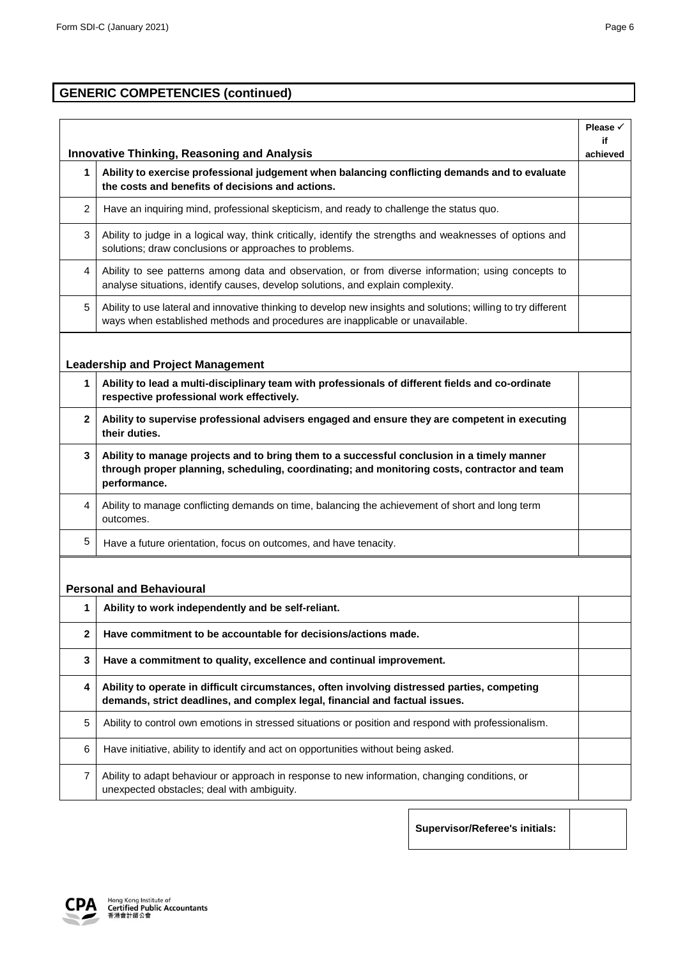# **GENERIC COMPETENCIES (continued)**

|                |                                                                                                                                                                                                            | Please √<br>if |
|----------------|------------------------------------------------------------------------------------------------------------------------------------------------------------------------------------------------------------|----------------|
|                | <b>Innovative Thinking, Reasoning and Analysis</b>                                                                                                                                                         | achieved       |
| 1              | Ability to exercise professional judgement when balancing conflicting demands and to evaluate<br>the costs and benefits of decisions and actions.                                                          |                |
| $\overline{c}$ | Have an inquiring mind, professional skepticism, and ready to challenge the status quo.                                                                                                                    |                |
| 3              | Ability to judge in a logical way, think critically, identify the strengths and weaknesses of options and<br>solutions; draw conclusions or approaches to problems.                                        |                |
| 4              | Ability to see patterns among data and observation, or from diverse information; using concepts to<br>analyse situations, identify causes, develop solutions, and explain complexity.                      |                |
| 5              | Ability to use lateral and innovative thinking to develop new insights and solutions; willing to try different<br>ways when established methods and procedures are inapplicable or unavailable.            |                |
|                |                                                                                                                                                                                                            |                |
|                | <b>Leadership and Project Management</b>                                                                                                                                                                   |                |
| 1              | Ability to lead a multi-disciplinary team with professionals of different fields and co-ordinate<br>respective professional work effectively.                                                              |                |
| $\mathbf{2}$   | Ability to supervise professional advisers engaged and ensure they are competent in executing<br>their duties.                                                                                             |                |
| 3              | Ability to manage projects and to bring them to a successful conclusion in a timely manner<br>through proper planning, scheduling, coordinating; and monitoring costs, contractor and team<br>performance. |                |
| 4              | Ability to manage conflicting demands on time, balancing the achievement of short and long term<br>outcomes.                                                                                               |                |
| 5              | Have a future orientation, focus on outcomes, and have tenacity.                                                                                                                                           |                |
|                |                                                                                                                                                                                                            |                |
|                | <b>Personal and Behavioural</b>                                                                                                                                                                            |                |
| 1              | Ability to work independently and be self-reliant.                                                                                                                                                         |                |
| $\mathbf{2}$   | Have commitment to be accountable for decisions/actions made.                                                                                                                                              |                |
| 3              | Have a commitment to quality, excellence and continual improvement.                                                                                                                                        |                |
| 4              | Ability to operate in difficult circumstances, often involving distressed parties, competing<br>demands, strict deadlines, and complex legal, financial and factual issues.                                |                |
| 5              | Ability to control own emotions in stressed situations or position and respond with professionalism.                                                                                                       |                |
| 6              | Have initiative, ability to identify and act on opportunities without being asked.                                                                                                                         |                |
| 7              | Ability to adapt behaviour or approach in response to new information, changing conditions, or<br>unexpected obstacles; deal with ambiguity.                                                               |                |